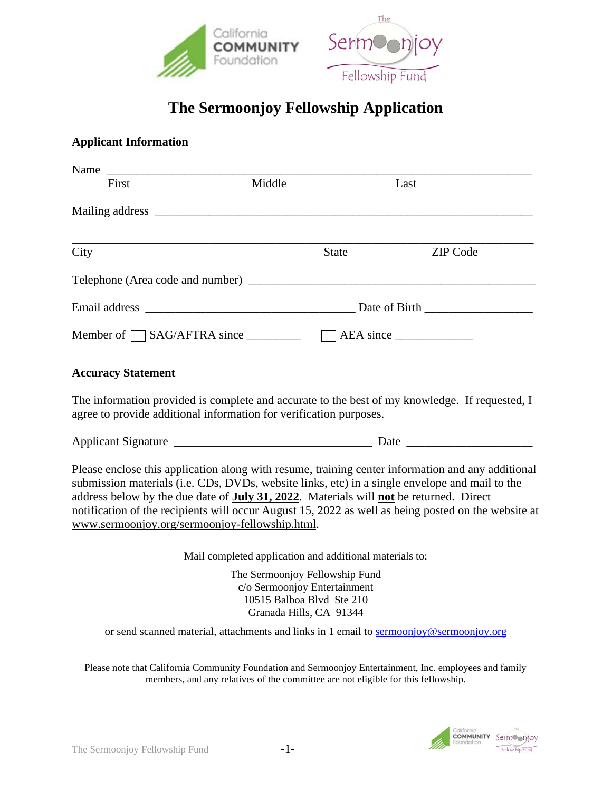

# **The Sermoonjoy Fellowship Application**

#### **Applicant Information**

| Name                      |                                                                                                       |                                                                 |                                                                                                                                                                                                     |  |  |
|---------------------------|-------------------------------------------------------------------------------------------------------|-----------------------------------------------------------------|-----------------------------------------------------------------------------------------------------------------------------------------------------------------------------------------------------|--|--|
| First                     | Middle                                                                                                |                                                                 | Last                                                                                                                                                                                                |  |  |
|                           |                                                                                                       |                                                                 |                                                                                                                                                                                                     |  |  |
| City                      |                                                                                                       | <b>State</b>                                                    | <b>ZIP</b> Code                                                                                                                                                                                     |  |  |
|                           |                                                                                                       |                                                                 |                                                                                                                                                                                                     |  |  |
|                           |                                                                                                       |                                                                 |                                                                                                                                                                                                     |  |  |
|                           |                                                                                                       | Member of $\Box$ SAG/AFTRA since $\Box$ $\Box$ AEA since $\Box$ |                                                                                                                                                                                                     |  |  |
| <b>Accuracy Statement</b> |                                                                                                       |                                                                 |                                                                                                                                                                                                     |  |  |
|                           | agree to provide additional information for verification purposes.                                    |                                                                 | The information provided is complete and accurate to the best of my knowledge. If requested, I                                                                                                      |  |  |
|                           |                                                                                                       |                                                                 |                                                                                                                                                                                                     |  |  |
|                           | address below by the due date of <b>July 31, 2022</b> . Materials will <b>not</b> be returned. Direct |                                                                 | Please enclose this application along with resume, training center information and any additional<br>submission materials (i.e. CDs, DVDs, website links, etc) in a single envelope and mail to the |  |  |

notification of the recipients will occur August 15, 2022 as well as being posted on the website at www.sermoonjoy.org/sermoonjoy-fellowship.html.

Mail completed application and additional materials to:

The Sermoonjoy Fellowship Fund c/o Sermoonjoy Entertainment 10515 Balboa Blvd Ste 210 Granada Hills, CA 91344

or send scanned material, attachments and links in 1 email t[o sermoonjoy@sermoonjoy.org](mailto:sermoonjoy@sermoonjoy.org)

Please note that California Community Foundation and Sermoonjoy Entertainment, Inc. employees and family members, and any relatives of the committee are not eligible for this fellowship.

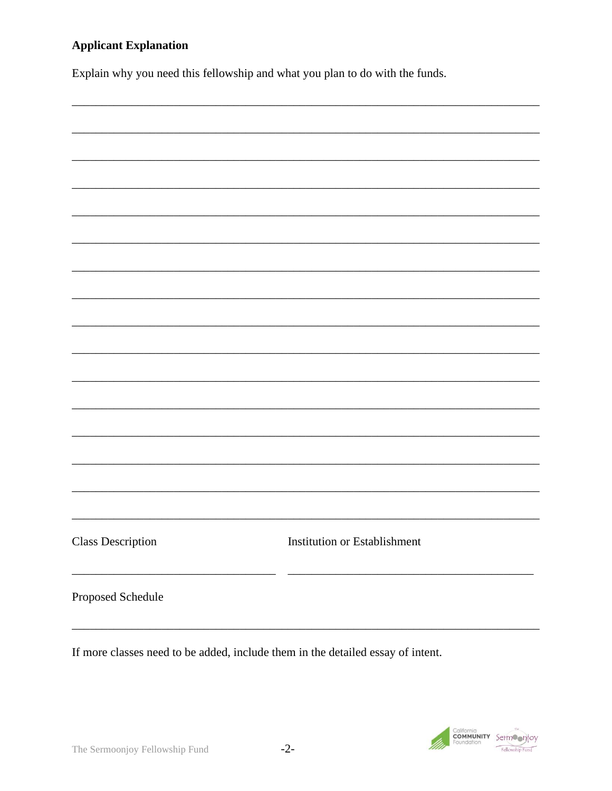#### **Applicant Explanation**

Explain why you need this fellowship and what you plan to do with the funds.



If more classes need to be added, include them in the detailed essay of intent.

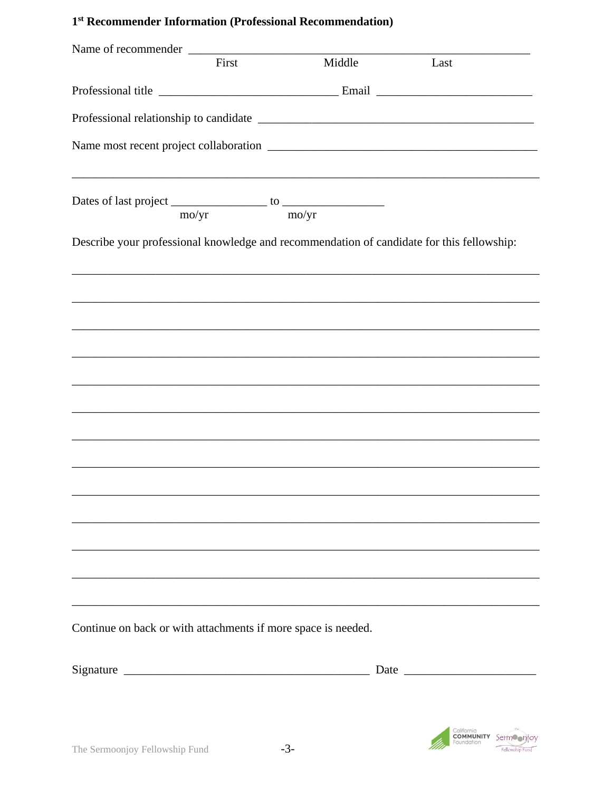### 1<sup>st</sup> Recommender Information (Professional Recommendation)

| Name of recommender                                           |                |       |        |                                                                                           |
|---------------------------------------------------------------|----------------|-------|--------|-------------------------------------------------------------------------------------------|
|                                                               | First          |       | Middle | Last                                                                                      |
|                                                               |                |       |        |                                                                                           |
|                                                               |                |       |        |                                                                                           |
|                                                               |                |       |        |                                                                                           |
|                                                               |                |       |        | ,我们也不会有什么。""我们的人,我们也不会有什么?""我们的人,我们也不会有什么?""我们的人,我们也不会有什么?""我们的人,我们也不会有什么?""我们的人          |
|                                                               | $\text{mo/yr}$ | mo/yr |        |                                                                                           |
|                                                               |                |       |        | Describe your professional knowledge and recommendation of candidate for this fellowship: |
|                                                               |                |       |        |                                                                                           |
|                                                               |                |       |        |                                                                                           |
|                                                               |                |       |        |                                                                                           |
|                                                               |                |       |        | ,我们也不能在这里的时候,我们也不能在这里的时候,我们也不能会在这里的时候,我们也不能会在这里的时候,我们也不能会在这里的时候,我们也不能会在这里的时候,我们也不         |
|                                                               |                |       |        |                                                                                           |
|                                                               |                |       |        |                                                                                           |
|                                                               |                |       |        |                                                                                           |
|                                                               |                |       |        |                                                                                           |
|                                                               |                |       |        |                                                                                           |
|                                                               |                |       |        |                                                                                           |
|                                                               |                |       |        |                                                                                           |
|                                                               |                |       |        |                                                                                           |
| Continue on back or with attachments if more space is needed. |                |       |        |                                                                                           |
|                                                               |                |       |        |                                                                                           |